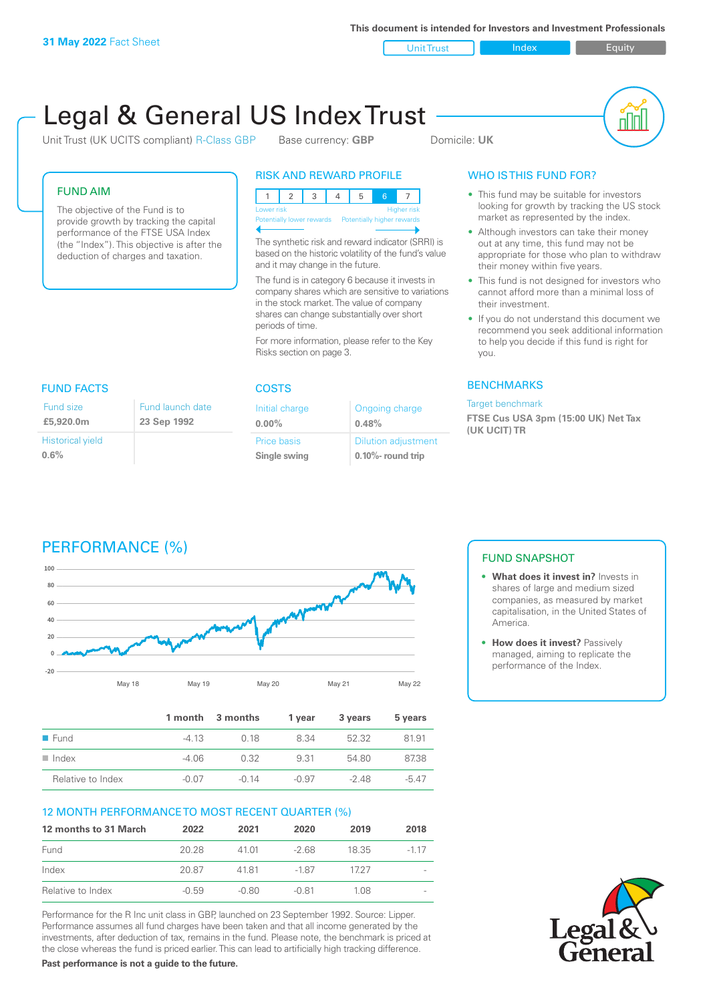Unit Trust Index I Equity

# Legal & General US Index Trust

Unit Trust (UK UCITS compliant) R-Class GBP Base currency: **GBP** Domicile: UK

nl Inl

#### FUND AIM

The objective of the Fund is to provide growth by tracking the capital performance of the FTSE USA Index (the "Index"). This objective is after the deduction of charges and taxation.

#### RISK AND REWARD PROFILE

| Lower risk                                           |  |  |  |  | <b>Higher risk</b> |
|------------------------------------------------------|--|--|--|--|--------------------|
| Potentially lower rewards Potentially higher rewards |  |  |  |  |                    |
|                                                      |  |  |  |  |                    |

The synthetic risk and reward indicator (SRRI) is based on the historic volatility of the fund's value and it may change in the future.

The fund is in category 6 because it invests in company shares which are sensitive to variations in the stock market. The value of company shares can change substantially over short periods of time.

For more information, please refer to the Key Risks section on page 3.

| <b>FUND FACTS</b>       |                  | <b>COSTS</b>   |                            |  |
|-------------------------|------------------|----------------|----------------------------|--|
| Fund size               | Fund launch date | Initial charge | Ongoing charge             |  |
| £5,920.0m               | 23 Sep 1992      | $0.00\%$       | 0.48%                      |  |
| <b>Historical yield</b> |                  | Price basis    | <b>Dilution adjustment</b> |  |
| 0.6%                    |                  | Single swing   | $0.10\%$ - round trip      |  |

### WHO IS THIS FUND FOR?

- This fund may be suitable for investors looking for growth by tracking the US stock market as represented by the index.
- Although investors can take their money out at any time, this fund may not be appropriate for those who plan to withdraw their money within five years.
- This fund is not designed for investors who cannot afford more than a minimal loss of their investment.
- If you do not understand this document we recommend you seek additional information to help you decide if this fund is right for you.

#### **BENCHMARKS**

#### Target benchmark

**FTSE Cus USA 3pm (15:00 UK) Net Tax (UK UCIT) TR**

## PERFORMANCE (%)



|                      |         | 1 month 3 months | 1 vear  | 3 years | 5 years |
|----------------------|---------|------------------|---------|---------|---------|
| $\blacksquare$ Fund  | $-413$  | 0.18             | 8.34    | 52.32   | 81.91   |
| $\blacksquare$ Index | $-4.06$ | 0.32             | 931     | 54.80   | 87.38   |
| Relative to Index    | $-0.07$ | $-0.14$          | $-0.97$ | $-248$  | $-547$  |

#### 12 MONTH PERFORMANCE TO MOST RECENT QUARTER (%)

| 12 months to 31 March | 2022    | 2021    | 2020    | 2019  | 2018  |
|-----------------------|---------|---------|---------|-------|-------|
| Fund                  | 20.28   | 41.01   | $-268$  | 18.35 | -1 17 |
| Index                 | 20.87   | 4181    | -1.87   | 1727  |       |
| Relative to Index     | $-0.59$ | $-0.80$ | $-0.81$ | 1 08. |       |

Performance for the R Inc unit class in GBP, launched on 23 September 1992. Source: Lipper. Performance assumes all fund charges have been taken and that all income generated by the investments, after deduction of tax, remains in the fund. Please note, the benchmark is priced at the close whereas the fund is priced earlier. This can lead to artificially high tracking difference.

**Past performance is not a guide to the future.**

### FUND SNAPSHOT

- **• What does it invest in?** Invests in shares of large and medium sized companies, as measured by market capitalisation, in the United States of America.
- **•** How does it invest? Passively managed, aiming to replicate the performance of the Index.

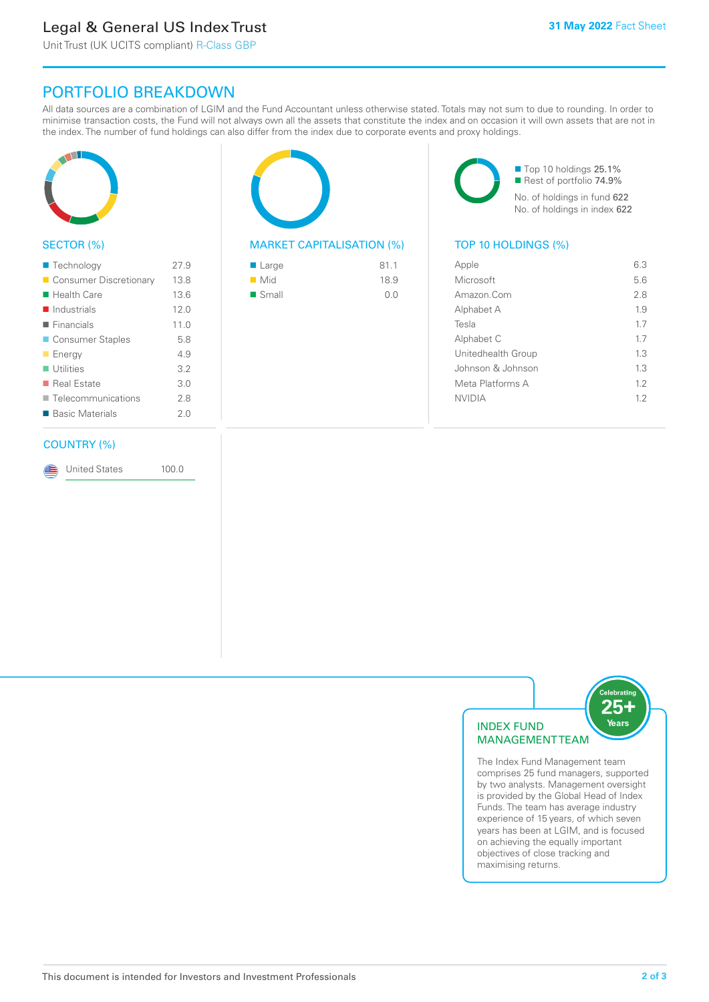### Legal & General US Index Trust

Unit Trust (UK UCITS compliant) R-Class GBP

### PORTFOLIO BREAKDOWN

All data sources are a combination of LGIM and the Fund Accountant unless otherwise stated. Totals may not sum to due to rounding. In order to minimise transaction costs, the Fund will not always own all the assets that constitute the index and on occasion it will own assets that are not in the index. The number of fund holdings can also differ from the index due to corporate events and proxy holdings.



#### SECTOR (%)

| 27.9 |
|------|
| 13.8 |
| 13.6 |
| 12.0 |
| 11.0 |
| 5.8  |
| 4.9  |
| 3.2  |
| 3.0  |
| 2.8  |
| 2.0  |
|      |

#### COUNTRY (%)

United States 100.0

#### MARKET CAPITALISATION (%) TOP 10 HOLDINGS (%)

| ■ Large              | 81.1 |
|----------------------|------|
| $\blacksquare$ Mid   | 18.9 |
| $\blacksquare$ Small | 0.0  |

■ Top 10 holdings 25.1% ■ Rest of portfolio 74.9% No. of holdings in fund 622 No. of holdings in index 622

| Apple              | 6.3 |
|--------------------|-----|
| Microsoft          | 5.6 |
| Amazon.Com         | 28  |
| Alphabet A         | 19  |
| Tesla              | 17  |
| Alphabet C         | 17  |
| Unitedhealth Group | 13  |
| Johnson & Johnson  | 1.3 |
| Meta Platforms A   | 12  |
| <b>NVIDIA</b>      | 12  |
|                    |     |



The Index Fund Management team comprises 25 fund managers, supported by two analysts. Management oversight is provided by the Global Head of Index Funds. The team has average industry experience of 15 years, of which seven years has been at LGIM, and is focused on achieving the equally important objectives of close tracking and maximising returns.